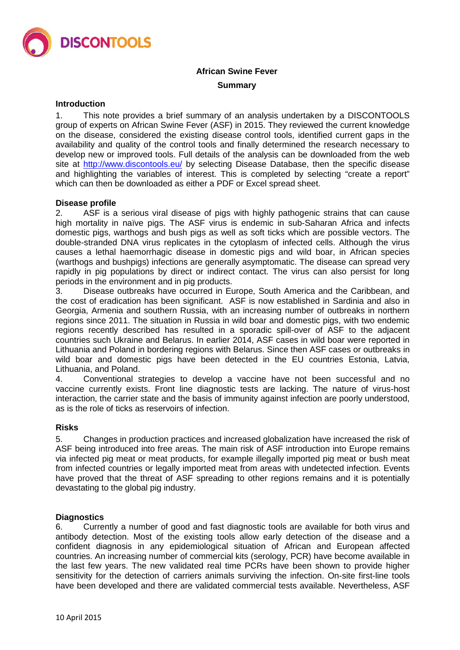

# **African Swine Fever Summary**

## **Introduction**

1. This note provides a brief summary of an analysis undertaken by a DISCONTOOLS group of experts on African Swine Fever (ASF) in 2015. They reviewed the current knowledge on the disease, considered the existing disease control tools, identified current gaps in the availability and quality of the control tools and finally determined the research necessary to develop new or improved tools. Full details of the analysis can be downloaded from the web site at<http://www.discontools.eu/> by selecting Disease Database, then the specific disease and highlighting the variables of interest. This is completed by selecting "create a report" which can then be downloaded as either a PDF or Excel spread sheet.

#### **Disease profile**

2. ASF is a serious viral disease of pigs with highly pathogenic strains that can cause high mortality in naïve pigs. The ASF virus is endemic in sub-Saharan Africa and infects domestic pigs, warthogs and bush pigs as well as soft ticks which are possible vectors. The double-stranded DNA virus replicates in the cytoplasm of infected cells. Although the virus causes a lethal haemorrhagic disease in domestic pigs and wild boar, in African species (warthogs and bushpigs) infections are generally asymptomatic. The disease can spread very rapidly in pig populations by direct or indirect contact. The virus can also persist for long periods in the environment and in pig products.

3. Disease outbreaks have occurred in Europe, South America and the Caribbean, and the cost of eradication has been significant. ASF is now established in Sardinia and also in Georgia, Armenia and southern Russia, with an increasing number of outbreaks in northern regions since 2011. The situation in Russia in wild boar and domestic pigs, with two endemic regions recently described has resulted in a sporadic spill-over of ASF to the adjacent countries such Ukraine and Belarus. In earlier 2014, ASF cases in wild boar were reported in Lithuania and Poland in bordering regions with Belarus. Since then ASF cases or outbreaks in wild boar and domestic pigs have been detected in the EU countries Estonia, Latvia, Lithuania, and Poland.

4. Conventional strategies to develop a vaccine have not been successful and no vaccine currently exists. Front line diagnostic tests are lacking. The nature of virus-host interaction, the carrier state and the basis of immunity against infection are poorly understood, as is the role of ticks as reservoirs of infection.

## **Risks**

5. Changes in production practices and increased globalization have increased the risk of ASF being introduced into free areas. The main risk of ASF introduction into Europe remains via infected pig meat or meat products, for example illegally imported pig meat or bush meat from infected countries or legally imported meat from areas with undetected infection. Events have proved that the threat of ASF spreading to other regions remains and it is potentially devastating to the global pig industry.

#### **Diagnostics**

6. Currently a number of good and fast diagnostic tools are available for both virus and antibody detection. Most of the existing tools allow early detection of the disease and a confident diagnosis in any epidemiological situation of African and European affected countries. An increasing number of commercial kits (serology, PCR) have become available in the last few years. The new validated real time PCRs have been shown to provide higher sensitivity for the detection of carriers animals surviving the infection. On-site first-line tools have been developed and there are validated commercial tests available. Nevertheless, ASF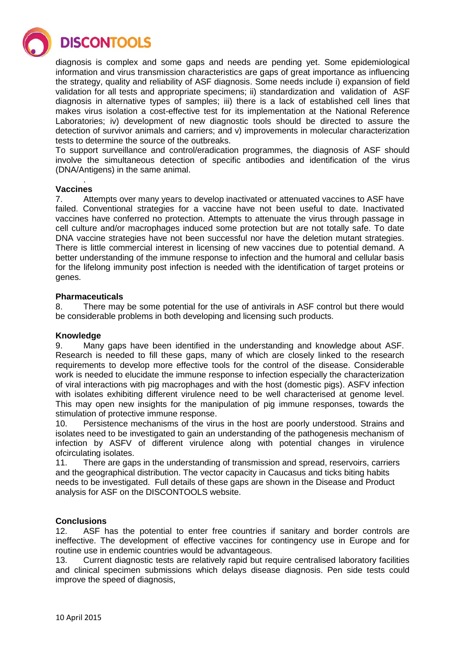**DISCONTOOLS** 

diagnosis is complex and some gaps and needs are pending yet. Some epidemiological information and virus transmission characteristics are gaps of great importance as influencing the strategy, quality and reliability of ASF diagnosis. Some needs include i) expansion of field validation for all tests and appropriate specimens; ii) standardization and validation of ASF diagnosis in alternative types of samples; iii) there is a lack of established cell lines that makes virus isolation a cost-effective test for its implementation at the National Reference Laboratories; iv) development of new diagnostic tools should be directed to assure the detection of survivor animals and carriers; and v) improvements in molecular characterization tests to determine the source of the outbreaks.

To support surveillance and control/eradication programmes, the diagnosis of ASF should involve the simultaneous detection of specific antibodies and identification of the virus (DNA/Antigens) in the same animal.

#### . **Vaccines**

7. Attempts over many years to develop inactivated or attenuated vaccines to ASF have failed. Conventional strategies for a vaccine have not been useful to date. Inactivated vaccines have conferred no protection. Attempts to attenuate the virus through passage in cell culture and/or macrophages induced some protection but are not totally safe. To date DNA vaccine strategies have not been successful nor have the deletion mutant strategies. There is little commercial interest in licensing of new vaccines due to potential demand. A better understanding of the immune response to infection and the humoral and cellular basis for the lifelong immunity post infection is needed with the identification of target proteins or genes.

# **Pharmaceuticals**

8. There may be some potential for the use of antivirals in ASF control but there would be considerable problems in both developing and licensing such products.

# **Knowledge**

9. Many gaps have been identified in the understanding and knowledge about ASF. Research is needed to fill these gaps, many of which are closely linked to the research requirements to develop more effective tools for the control of the disease. Considerable work is needed to elucidate the immune response to infection especially the characterization of viral interactions with pig macrophages and with the host (domestic pigs). ASFV infection with isolates exhibiting different virulence need to be well characterised at genome level. This may open new insights for the manipulation of pig immune responses, towards the stimulation of protective immune response.

10. Persistence mechanisms of the virus in the host are poorly understood. Strains and isolates need to be investigated to gain an understanding of the pathogenesis mechanism of infection by ASFV of different virulence along with potential changes in virulence ofcirculating isolates.

11. There are gaps in the understanding of transmission and spread, reservoirs, carriers and the geographical distribution. The vector capacity in Caucasus and ticks biting habits needs to be investigated. Full details of these gaps are shown in the Disease and Product analysis for ASF on the DISCONTOOLS website.

## **Conclusions**

12. ASF has the potential to enter free countries if sanitary and border controls are ineffective. The development of effective vaccines for contingency use in Europe and for routine use in endemic countries would be advantageous.

13. Current diagnostic tests are relatively rapid but require centralised laboratory facilities and clinical specimen submissions which delays disease diagnosis. Pen side tests could improve the speed of diagnosis,